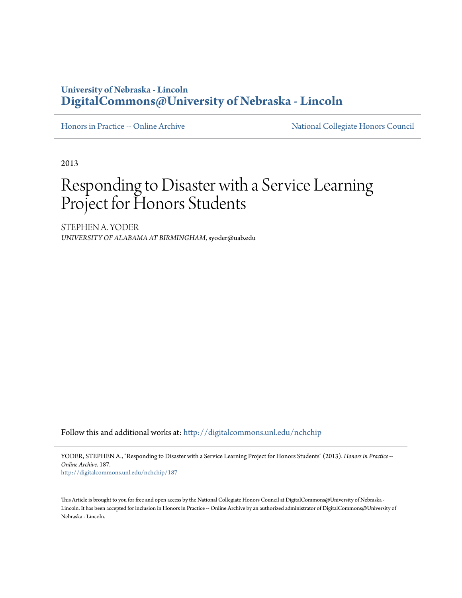### **University of Nebraska - Lincoln [DigitalCommons@University of Nebraska - Lincoln](http://digitalcommons.unl.edu?utm_source=digitalcommons.unl.edu%2Fnchchip%2F187&utm_medium=PDF&utm_campaign=PDFCoverPages)**

[Honors in Practice -- Online Archive](http://digitalcommons.unl.edu/nchchip?utm_source=digitalcommons.unl.edu%2Fnchchip%2F187&utm_medium=PDF&utm_campaign=PDFCoverPages) [National Collegiate Honors Council](http://digitalcommons.unl.edu/natlcollhonors?utm_source=digitalcommons.unl.edu%2Fnchchip%2F187&utm_medium=PDF&utm_campaign=PDFCoverPages)

2013

# Responding to Disaster with a Service Learning Project for Honors Students

STEPHEN A. YODER *UNIVERSITY OF ALABAMA AT BIRMINGHAM*, syoder@uab.edu

Follow this and additional works at: [http://digitalcommons.unl.edu/nchchip](http://digitalcommons.unl.edu/nchchip?utm_source=digitalcommons.unl.edu%2Fnchchip%2F187&utm_medium=PDF&utm_campaign=PDFCoverPages)

YODER, STEPHEN A., "Responding to Disaster with a Service Learning Project for Honors Students" (2013). *Honors in Practice -- Online Archive*. 187.

[http://digitalcommons.unl.edu/nchchip/187](http://digitalcommons.unl.edu/nchchip/187?utm_source=digitalcommons.unl.edu%2Fnchchip%2F187&utm_medium=PDF&utm_campaign=PDFCoverPages)

This Article is brought to you for free and open access by the National Collegiate Honors Council at DigitalCommons@University of Nebraska - Lincoln. It has been accepted for inclusion in Honors in Practice -- Online Archive by an authorized administrator of DigitalCommons@University of Nebraska - Lincoln.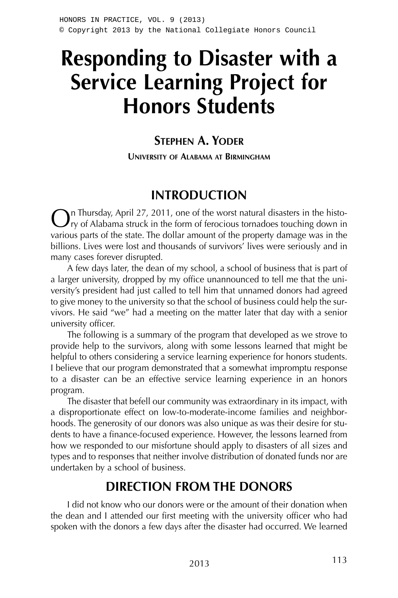# **Responding to Disaster with a Service Learning Project for Honors Students**

### **STEPHEN A. YODER**

**UNIVERSITY OF ALABAMA AT BIRMINGHAM**

# **INTRODUCTION**

In Thursday, April 27, 2011, one of the worst natural disasters in the histo- $\mathcal{F}_{\mathsf{TV}}$  of Alabama struck in the form of ferocious tornadoes touching down in various parts of the state. The dollar amount of the property damage was in the billions. Lives were lost and thousands of survivors' lives were seriously and in many cases forever disrupted.

A few days later, the dean of my school, a school of business that is part of a larger university, dropped by my office unannounced to tell me that the university's president had just called to tell him that unnamed donors had agreed to give money to the university so that the school of business could help the survivors. He said "we" had a meeting on the matter later that day with a senior university officer.

The following is a summary of the program that developed as we strove to provide help to the survivors, along with some lessons learned that might be helpful to others considering a service learning experience for honors students. I believe that our program demonstrated that a somewhat impromptu response to a disaster can be an effective service learning experience in an honors program.

The disaster that befell our community was extraordinary in its impact, with a disproportionate effect on low-to-moderate-income families and neighborhoods. The generosity of our donors was also unique as was their desire for students to have a finance-focused experience. However, the lessons learned from how we responded to our misfortune should apply to disasters of all sizes and types and to responses that neither involve distribution of donated funds nor are undertaken by a school of business.

### **DIRECTION FROM THE DONORS**

I did not know who our donors were or the amount of their donation when the dean and I attended our first meeting with the university officer who had spoken with the donors a few days after the disaster had occurred. We learned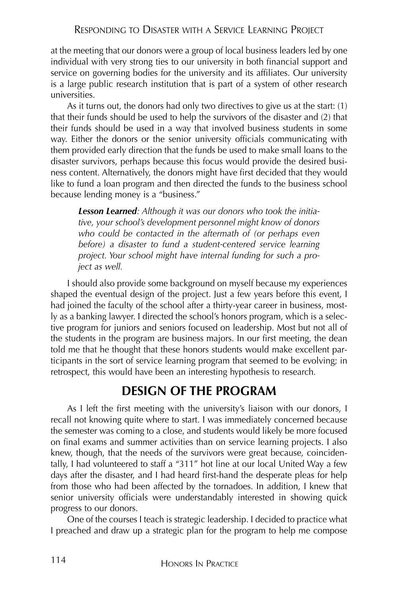at the meeting that our donors were a group of local business leaders led by one individual with very strong ties to our university in both financial support and service on governing bodies for the university and its affiliates. Our university is a large public research institution that is part of a system of other research universities.

As it turns out, the donors had only two directives to give us at the start: (1) that their funds should be used to help the survivors of the disaster and (2) that their funds should be used in a way that involved business students in some way. Either the donors or the senior university officials communicating with them provided early direction that the funds be used to make small loans to the disaster survivors, perhaps because this focus would provide the desired business content. Alternatively, the donors might have first decided that they would like to fund a loan program and then directed the funds to the business school because lending money is a "business."

*Lesson Learned: Although it was our donors who took the initiative, your school's development personnel might know of donors who could be contacted in the aftermath of (or perhaps even before) a disaster to fund a student-centered service learning project. Your school might have internal funding for such a project as well.*

I should also provide some background on myself because my experiences shaped the eventual design of the project. Just a few years before this event, I had joined the faculty of the school after a thirty-year career in business, mostly as a banking lawyer. I directed the school's honors program, which is a selective program for juniors and seniors focused on leadership. Most but not all of the students in the program are business majors. In our first meeting, the dean told me that he thought that these honors students would make excellent participants in the sort of service learning program that seemed to be evolving; in retrospect, this would have been an interesting hypothesis to research.

### **DESIGN OF THE PROGRAM**

As I left the first meeting with the university's liaison with our donors, I recall not knowing quite where to start. I was immediately concerned because the semester was coming to a close, and students would likely be more focused on final exams and summer activities than on service learning projects. I also knew, though, that the needs of the survivors were great because, coincidentally, I had volunteered to staff a "311" hot line at our local United Way a few days after the disaster, and I had heard first-hand the desperate pleas for help from those who had been affected by the tornadoes. In addition, I knew that senior university officials were understandably interested in showing quick progress to our donors.

One of the courses I teach is strategic leadership. I decided to practice what I preached and draw up a strategic plan for the program to help me compose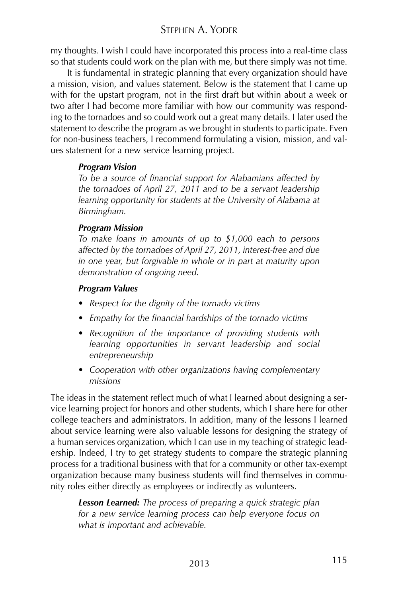#### STEPHEN A. YODER

my thoughts. I wish I could have incorporated this process into a real-time class so that students could work on the plan with me, but there simply was not time.

It is fundamental in strategic planning that every organization should have a mission, vision, and values statement. Below is the statement that I came up with for the upstart program, not in the first draft but within about a week or two after I had become more familiar with how our community was responding to the tornadoes and so could work out a great many details. I later used the statement to describe the program as we brought in students to participate. Even for non-business teachers, I recommend formulating a vision, mission, and values statement for a new service learning project.

#### *Program Vision*

*To be a source of financial support for Alabamians affected by the tornadoes of April 27, 2011 and to be a servant leadership learning opportunity for students at the University of Alabama at Birmingham.*

#### *Program Mission*

*To make loans in amounts of up to \$1,000 each to persons affected by the tornadoes of April 27, 2011, interest-free and due in one year, but forgivable in whole or in part at maturity upon demonstration of ongoing need.*

#### *Program Values*

- *Respect for the dignity of the tornado victims*
- *• Empathy for the financial hardships of the tornado victims*
- *• Recognition of the importance of providing students with learning opportunities in servant leadership and social entrepreneurship*
- *Cooperation with other organizations having complementary missions*

The ideas in the statement reflect much of what I learned about designing a service learning project for honors and other students, which I share here for other college teachers and administrators. In addition, many of the lessons I learned about service learning were also valuable lessons for designing the strategy of a human services organization, which I can use in my teaching of strategic leadership. Indeed, I try to get strategy students to compare the strategic planning process for a traditional business with that for a community or other tax-exempt organization because many business students will find themselves in community roles either directly as employees or indirectly as volunteers.

*Lesson Learned: The process of preparing a quick strategic plan for a new service learning process can help everyone focus on what is important and achievable.*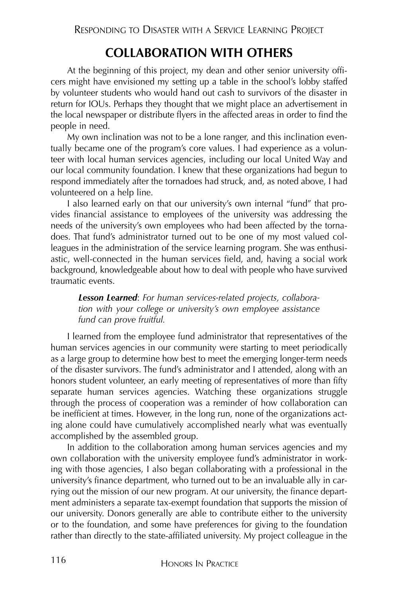# **COLLABORATION WITH OTHERS**

At the beginning of this project, my dean and other senior university officers might have envisioned my setting up a table in the school's lobby staffed by volunteer students who would hand out cash to survivors of the disaster in return for IOUs. Perhaps they thought that we might place an advertisement in the local newspaper or distribute flyers in the affected areas in order to find the people in need.

My own inclination was not to be a lone ranger, and this inclination eventually became one of the program's core values. I had experience as a volunteer with local human services agencies, including our local United Way and our local community foundation. I knew that these organizations had begun to respond immediately after the tornadoes had struck, and, as noted above, I had volunteered on a help line.

I also learned early on that our university's own internal "fund" that provides financial assistance to employees of the university was addressing the needs of the university's own employees who had been affected by the tornadoes. That fund's administrator turned out to be one of my most valued colleagues in the administration of the service learning program. She was enthusiastic, well-connected in the human services field, and, having a social work background, knowledgeable about how to deal with people who have survived traumatic events.

*Lesson Learned*: *For human services-related projects, collaboration with your college or university's own employee assistance fund can prove fruitful.*

I learned from the employee fund administrator that representatives of the human services agencies in our community were starting to meet periodically as a large group to determine how best to meet the emerging longer-term needs of the disaster survivors. The fund's administrator and I attended, along with an honors student volunteer, an early meeting of representatives of more than fifty separate human services agencies. Watching these organizations struggle through the process of cooperation was a reminder of how collaboration can be inefficient at times. However, in the long run, none of the organizations acting alone could have cumulatively accomplished nearly what was eventually accomplished by the assembled group.

In addition to the collaboration among human services agencies and my own collaboration with the university employee fund's administrator in working with those agencies, I also began collaborating with a professional in the university's finance department, who turned out to be an invaluable ally in carrying out the mission of our new program. At our university, the finance department administers a separate tax-exempt foundation that supports the mission of our university. Donors generally are able to contribute either to the university or to the foundation, and some have preferences for giving to the foundation rather than directly to the state-affiliated university. My project colleague in the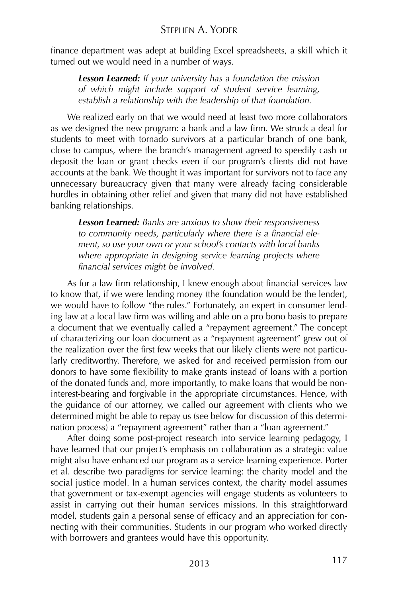finance department was adept at building Excel spreadsheets, a skill which it turned out we would need in a number of ways.

*Lesson Learned: If your university has a foundation the mission of which might include support of student service learning, establish a relationship with the leadership of that foundation.*

We realized early on that we would need at least two more collaborators as we designed the new program: a bank and a law firm. We struck a deal for students to meet with tornado survivors at a particular branch of one bank, close to campus, where the branch's management agreed to speedily cash or deposit the loan or grant checks even if our program's clients did not have accounts at the bank. We thought it was important for survivors not to face any unnecessary bureaucracy given that many were already facing considerable hurdles in obtaining other relief and given that many did not have established banking relationships.

*Lesson Learned: Banks are anxious to show their responsiveness to community needs, particularly where there is a financial element, so use your own or your school's contacts with local banks where appropriate in designing service learning projects where financial services might be involved.*

As for a law firm relationship, I knew enough about financial services law to know that, if we were lending money (the foundation would be the lender), we would have to follow "the rules." Fortunately, an expert in consumer lending law at a local law firm was willing and able on a pro bono basis to prepare a document that we eventually called a "repayment agreement." The concept of characterizing our loan document as a "repayment agreement" grew out of the realization over the first few weeks that our likely clients were not particularly creditworthy. Therefore, we asked for and received permission from our donors to have some flexibility to make grants instead of loans with a portion of the donated funds and, more importantly, to make loans that would be noninterest-bearing and forgivable in the appropriate circumstances. Hence, with the guidance of our attorney, we called our agreement with clients who we determined might be able to repay us (see below for discussion of this determination process) a "repayment agreement" rather than a "loan agreement."

After doing some post-project research into service learning pedagogy, I have learned that our project's emphasis on collaboration as a strategic value might also have enhanced our program as a service learning experience. Porter et al. describe two paradigms for service learning: the charity model and the social justice model. In a human services context, the charity model assumes that government or tax-exempt agencies will engage students as volunteers to assist in carrying out their human services missions. In this straightforward model, students gain a personal sense of efficacy and an appreciation for connecting with their communities. Students in our program who worked directly with borrowers and grantees would have this opportunity.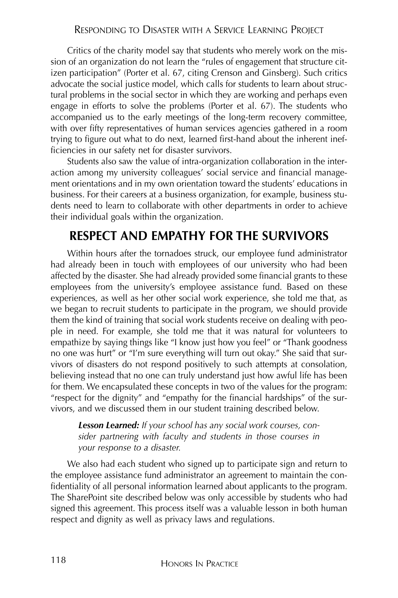Critics of the charity model say that students who merely work on the mission of an organization do not learn the "rules of engagement that structure citizen participation" (Porter et al. 67, citing Crenson and Ginsberg). Such critics advocate the social justice model, which calls for students to learn about structural problems in the social sector in which they are working and perhaps even engage in efforts to solve the problems (Porter et al. 67). The students who accompanied us to the early meetings of the long-term recovery committee, with over fifty representatives of human services agencies gathered in a room trying to figure out what to do next, learned first-hand about the inherent inefficiencies in our safety net for disaster survivors.

Students also saw the value of intra-organization collaboration in the interaction among my university colleagues' social service and financial management orientations and in my own orientation toward the students' educations in business. For their careers at a business organization, for example, business students need to learn to collaborate with other departments in order to achieve their individual goals within the organization.

### **RESPECT AND EMPATHY FOR THE SURVIVORS**

Within hours after the tornadoes struck, our employee fund administrator had already been in touch with employees of our university who had been affected by the disaster. She had already provided some financial grants to these employees from the university's employee assistance fund. Based on these experiences, as well as her other social work experience, she told me that, as we began to recruit students to participate in the program, we should provide them the kind of training that social work students receive on dealing with people in need. For example, she told me that it was natural for volunteers to empathize by saying things like "I know just how you feel" or "Thank goodness no one was hurt" or "I'm sure everything will turn out okay." She said that survivors of disasters do not respond positively to such attempts at consolation, believing instead that no one can truly understand just how awful life has been for them. We encapsulated these concepts in two of the values for the program: "respect for the dignity" and "empathy for the financial hardships" of the survivors, and we discussed them in our student training described below.

*Lesson Learned: If your school has any social work courses, consider partnering with faculty and students in those courses in your response to a disaster.*

We also had each student who signed up to participate sign and return to the employee assistance fund administrator an agreement to maintain the confidentiality of all personal information learned about applicants to the program. The SharePoint site described below was only accessible by students who had signed this agreement. This process itself was a valuable lesson in both human respect and dignity as well as privacy laws and regulations.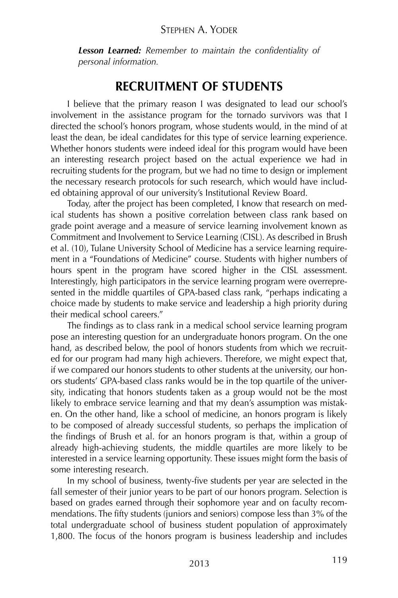#### STEPHEN A. YODER

*Lesson Learned: Remember to maintain the confidentiality of personal information.*

### **RECRUITMENT OF STUDENTS**

I believe that the primary reason I was designated to lead our school's involvement in the assistance program for the tornado survivors was that I directed the school's honors program, whose students would, in the mind of at least the dean, be ideal candidates for this type of service learning experience. Whether honors students were indeed ideal for this program would have been an interesting research project based on the actual experience we had in recruiting students for the program, but we had no time to design or implement the necessary research protocols for such research, which would have included obtaining approval of our university's Institutional Review Board.

Today, after the project has been completed, I know that research on medical students has shown a positive correlation between class rank based on grade point average and a measure of service learning involvement known as Commitment and Involvement to Service Learning (CISL). As described in Brush et al. (10), Tulane University School of Medicine has a service learning requirement in a "Foundations of Medicine" course. Students with higher numbers of hours spent in the program have scored higher in the CISL assessment. Interestingly, high participators in the service learning program were overrepresented in the middle quartiles of GPA-based class rank, "perhaps indicating a choice made by students to make service and leadership a high priority during their medical school careers."

The findings as to class rank in a medical school service learning program pose an interesting question for an undergraduate honors program. On the one hand, as described below, the pool of honors students from which we recruited for our program had many high achievers. Therefore, we might expect that, if we compared our honors students to other students at the university, our honors students' GPA-based class ranks would be in the top quartile of the university, indicating that honors students taken as a group would not be the most likely to embrace service learning and that my dean's assumption was mistaken. On the other hand, like a school of medicine, an honors program is likely to be composed of already successful students, so perhaps the implication of the findings of Brush et al. for an honors program is that, within a group of already high-achieving students, the middle quartiles are more likely to be interested in a service learning opportunity. These issues might form the basis of some interesting research.

In my school of business, twenty-five students per year are selected in the fall semester of their junior years to be part of our honors program. Selection is based on grades earned through their sophomore year and on faculty recommendations. The fifty students (juniors and seniors) compose less than 3% of the total undergraduate school of business student population of approximately 1,800. The focus of the honors program is business leadership and includes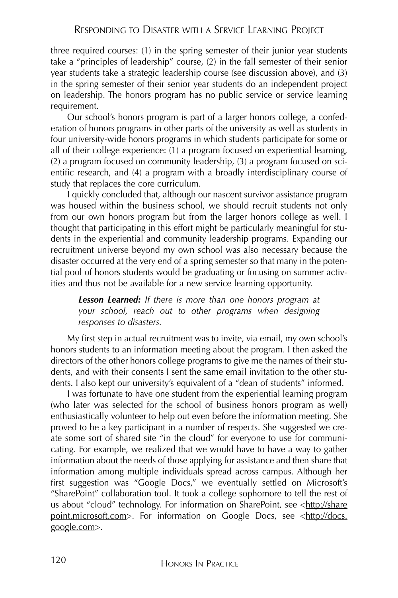three required courses: (1) in the spring semester of their junior year students take a "principles of leadership" course, (2) in the fall semester of their senior year students take a strategic leadership course (see discussion above), and (3) in the spring semester of their senior year students do an independent project on leadership. The honors program has no public service or service learning requirement.

Our school's honors program is part of a larger honors college, a confederation of honors programs in other parts of the university as well as students in four university-wide honors programs in which students participate for some or all of their college experience: (1) a program focused on experiential learning, (2) a program focused on community leadership, (3) a program focused on scientific research, and (4) a program with a broadly interdisciplinary course of study that replaces the core curriculum.

I quickly concluded that, although our nascent survivor assistance program was housed within the business school, we should recruit students not only from our own honors program but from the larger honors college as well. I thought that participating in this effort might be particularly meaningful for students in the experiential and community leadership programs. Expanding our recruitment universe beyond my own school was also necessary because the disaster occurred at the very end of a spring semester so that many in the potential pool of honors students would be graduating or focusing on summer activities and thus not be available for a new service learning opportunity.

*Lesson Learned: If there is more than one honors program at your school, reach out to other programs when designing responses to disasters.*

My first step in actual recruitment was to invite, via email, my own school's honors students to an information meeting about the program. I then asked the directors of the other honors college programs to give me the names of their students, and with their consents I sent the same email invitation to the other students. I also kept our university's equivalent of a "dean of students" informed.

I was fortunate to have one student from the experiential learning program (who later was selected for the school of business honors program as well) enthusiastically volunteer to help out even before the information meeting. She proved to be a key participant in a number of respects. She suggested we create some sort of shared site "in the cloud" for everyone to use for communicating. For example, we realized that we would have to have a way to gather information about the needs of those applying for assistance and then share that information among multiple individuals spread across campus. Although her first suggestion was "Google Docs," we eventually settled on Microsoft's "SharePoint" collaboration tool. It took a college sophomore to tell the rest of us about "cloud" technology. For information on SharePoint, see <http://share point.microsoft.com>. For information on Google Docs, see <http://docs. google.com>.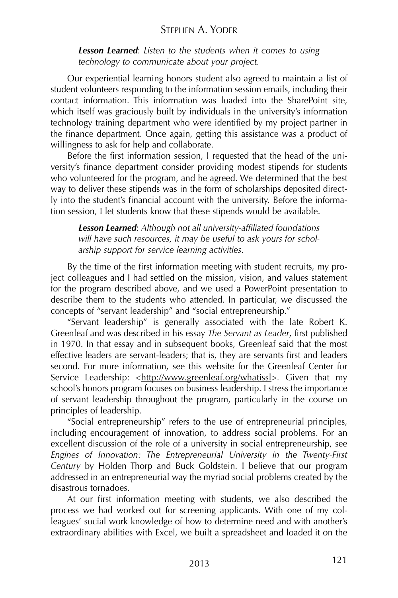#### STEPHEN A. YODER

*Lesson Learned*: *Listen to the students when it comes to using technology to communicate about your project.*

Our experiential learning honors student also agreed to maintain a list of student volunteers responding to the information session emails, including their contact information. This information was loaded into the SharePoint site, which itself was graciously built by individuals in the university's information technology training department who were identified by my project partner in the finance department. Once again, getting this assistance was a product of willingness to ask for help and collaborate.

Before the first information session, I requested that the head of the university's finance department consider providing modest stipends for students who volunteered for the program, and he agreed. We determined that the best way to deliver these stipends was in the form of scholarships deposited directly into the student's financial account with the university. Before the information session, I let students know that these stipends would be available.

*Lesson Learned*: *Although not all university-affiliated foundations will have such resources, it may be useful to ask yours for scholarship support for service learning activities.*

By the time of the first information meeting with student recruits, my project colleagues and I had settled on the mission, vision, and values statement for the program described above, and we used a PowerPoint presentation to describe them to the students who attended. In particular, we discussed the concepts of "servant leadership" and "social entrepreneurship."

"Servant leadership" is generally associated with the late Robert K. Greenleaf and was described in his essay *The Servant as Leader*, first published in 1970. In that essay and in subsequent books, Greenleaf said that the most effective leaders are servant-leaders; that is, they are servants first and leaders second. For more information, see this website for the Greenleaf Center for Service Leadership: <http://www.greenleaf.org/whatissl>. Given that my school's honors program focuses on business leadership. I stress the importance of servant leadership throughout the program, particularly in the course on principles of leadership.

"Social entrepreneurship" refers to the use of entrepreneurial principles, including encouragement of innovation, to address social problems. For an excellent discussion of the role of a university in social entrepreneurship, see *Engines of Innovation: The Entrepreneurial University in the Twenty-First Century* by Holden Thorp and Buck Goldstein. I believe that our program addressed in an entrepreneurial way the myriad social problems created by the disastrous tornadoes.

At our first information meeting with students, we also described the process we had worked out for screening applicants. With one of my colleagues' social work knowledge of how to determine need and with another's extraordinary abilities with Excel, we built a spreadsheet and loaded it on the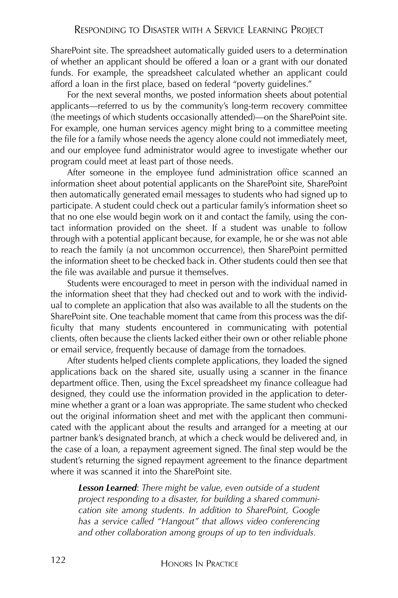SharePoint site. The spreadsheet automatically guided users to a determination of whether an applicant should be offered a loan or a grant with our donated funds. For example, the spreadsheet calculated whether an applicant could afford a loan in the first place, based on federal "poverty guidelines."

For the next several months, we posted information sheets about potential applicants—referred to us by the community's long-term recovery committee (the meetings of which students occasionally attended)—on the SharePoint site. For example, one human services agency might bring to a committee meeting the file for a family whose needs the agency alone could not immediately meet, and our employee fund administrator would agree to investigate whether our program could meet at least part of those needs.

After someone in the employee fund administration office scanned an information sheet about potential applicants on the SharePoint site, SharePoint then automatically generated email messages to students who had signed up to participate. A student could check out a particular family's information sheet so that no one else would begin work on it and contact the family, using the contact information provided on the sheet. If a student was unable to follow through with a potential applicant because, for example, he or she was not able to reach the family (a not uncommon occurrence), then SharePoint permitted the information sheet to be checked back in. Other students could then see that the file was available and pursue it themselves.

Students were encouraged to meet in person with the individual named in the information sheet that they had checked out and to work with the individual to complete an application that also was available to all the students on the SharePoint site. One teachable moment that came from this process was the difficulty that many students encountered in communicating with potential clients, often because the clients lacked either their own or other reliable phone or email service, frequently because of damage from the tornadoes.

After students helped clients complete applications, they loaded the signed applications back on the shared site, usually using a scanner in the finance department office. Then, using the Excel spreadsheet my finance colleague had designed, they could use the information provided in the application to determine whether a grant or a loan was appropriate. The same student who checked out the original information sheet and met with the applicant then communicated with the applicant about the results and arranged for a meeting at our partner bank's designated branch, at which a check would be delivered and, in the case of a loan, a repayment agreement signed. The final step would be the student's returning the signed repayment agreement to the finance department where it was scanned it into the SharePoint site.

*Lesson Learned*: *There might be value, even outside of a student project responding to a disaster, for building a shared communication site among students. In addition to SharePoint, Google has a service called "Hangout" that allows video conferencing and other collaboration among groups of up to ten individuals.*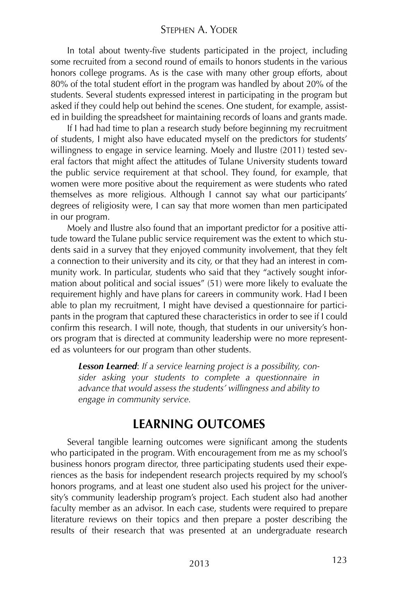In total about twenty-five students participated in the project, including some recruited from a second round of emails to honors students in the various honors college programs. As is the case with many other group efforts, about 80% of the total student effort in the program was handled by about 20% of the students. Several students expressed interest in participating in the program but asked if they could help out behind the scenes. One student, for example, assisted in building the spreadsheet for maintaining records of loans and grants made.

If I had had time to plan a research study before beginning my recruitment of students, I might also have educated myself on the predictors for students' willingness to engage in service learning. Moely and Ilustre (2011) tested several factors that might affect the attitudes of Tulane University students toward the public service requirement at that school. They found, for example, that women were more positive about the requirement as were students who rated themselves as more religious. Although I cannot say what our participants' degrees of religiosity were, I can say that more women than men participated in our program.

Moely and Ilustre also found that an important predictor for a positive attitude toward the Tulane public service requirement was the extent to which students said in a survey that they enjoyed community involvement, that they felt a connection to their university and its city, or that they had an interest in community work. In particular, students who said that they "actively sought information about political and social issues" (51) were more likely to evaluate the requirement highly and have plans for careers in community work. Had I been able to plan my recruitment, I might have devised a questionnaire for participants in the program that captured these characteristics in order to see if I could confirm this research. I will note, though, that students in our university's honors program that is directed at community leadership were no more represented as volunteers for our program than other students.

*Lesson Learned*: *If a service learning project is a possibility, consider asking your students to complete a questionnaire in advance that would assess the students' willingness and ability to engage in community service.*

### **LEARNING OUTCOMES**

Several tangible learning outcomes were significant among the students who participated in the program. With encouragement from me as my school's business honors program director, three participating students used their experiences as the basis for independent research projects required by my school's honors programs, and at least one student also used his project for the university's community leadership program's project. Each student also had another faculty member as an advisor. In each case, students were required to prepare literature reviews on their topics and then prepare a poster describing the results of their research that was presented at an undergraduate research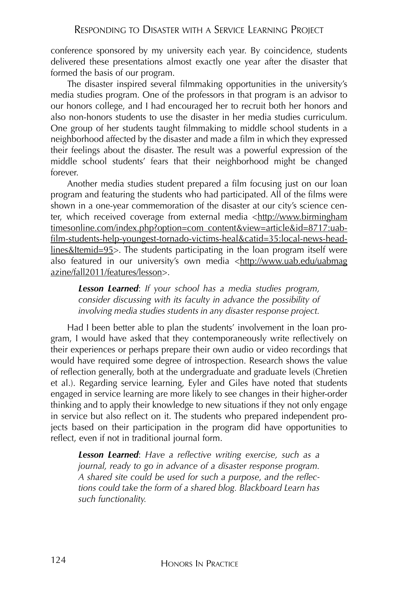conference sponsored by my university each year. By coincidence, students delivered these presentations almost exactly one year after the disaster that formed the basis of our program.

The disaster inspired several filmmaking opportunities in the university's media studies program. One of the professors in that program is an advisor to our honors college, and I had encouraged her to recruit both her honors and also non-honors students to use the disaster in her media studies curriculum. One group of her students taught filmmaking to middle school students in a neighborhood affected by the disaster and made a film in which they expressed their feelings about the disaster. The result was a powerful expression of the middle school students' fears that their neighborhood might be changed forever.

Another media studies student prepared a film focusing just on our loan program and featuring the students who had participated. All of the films were shown in a one-year commemoration of the disaster at our city's science center, which received coverage from external media <http://www.birmingham timesonline.com/index.php?option=com\_content&view=article&id=8717:uabfilm-students-help-youngest-tornado-victims-heal&catid=35:local-news-headlines&Itemid=95>. The students participating in the loan program itself were also featured in our university's own media <http://www.uab.edu/uabmag azine/fall2011/features/lesson>.

*Lesson Learned*: *If your school has a media studies program, consider discussing with its faculty in advance the possibility of involving media studies students in any disaster response project.*

Had I been better able to plan the students' involvement in the loan program, I would have asked that they contemporaneously write reflectively on their experiences or perhaps prepare their own audio or video recordings that would have required some degree of introspection. Research shows the value of reflection generally, both at the undergraduate and graduate levels (Chretien et al.). Regarding service learning, Eyler and Giles have noted that students engaged in service learning are more likely to see changes in their higher-order thinking and to apply their knowledge to new situations if they not only engage in service but also reflect on it. The students who prepared independent projects based on their participation in the program did have opportunities to reflect, even if not in traditional journal form.

*Lesson Learned*: *Have a reflective writing exercise, such as a journal, ready to go in advance of a disaster response program. A shared site could be used for such a purpose, and the reflections could take the form of a shared blog. Blackboard Learn has such functionality.*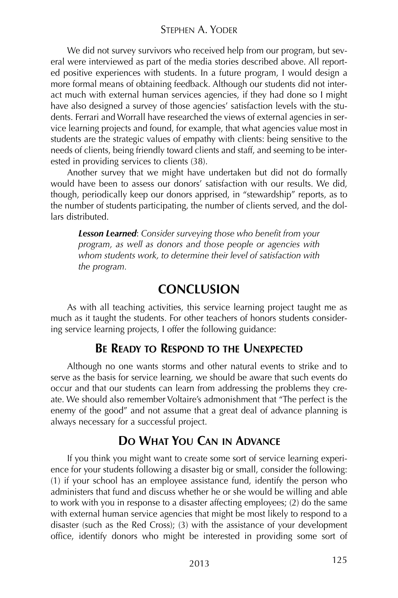We did not survey survivors who received help from our program, but several were interviewed as part of the media stories described above. All reported positive experiences with students. In a future program, I would design a more formal means of obtaining feedback. Although our students did not interact much with external human services agencies, if they had done so I might have also designed a survey of those agencies' satisfaction levels with the students. Ferrari and Worrall have researched the views of external agencies in service learning projects and found, for example, that what agencies value most in students are the strategic values of empathy with clients: being sensitive to the needs of clients, being friendly toward clients and staff, and seeming to be interested in providing services to clients (38).

Another survey that we might have undertaken but did not do formally would have been to assess our donors' satisfaction with our results. We did, though, periodically keep our donors apprised, in "stewardship" reports, as to the number of students participating, the number of clients served, and the dollars distributed.

*Lesson Learned*: *Consider surveying those who benefit from your program, as well as donors and those people or agencies with whom students work, to determine their level of satisfaction with the program.*

## **CONCLUSION**

As with all teaching activities, this service learning project taught me as much as it taught the students. For other teachers of honors students considering service learning projects, I offer the following guidance:

### **BE READY TO RESPOND TO THE UNEXPECTED**

Although no one wants storms and other natural events to strike and to serve as the basis for service learning, we should be aware that such events do occur and that our students can learn from addressing the problems they create. We should also remember Voltaire's admonishment that "The perfect is the enemy of the good" and not assume that a great deal of advance planning is always necessary for a successful project.

### **DO WHAT YOU CAN IN ADVANCE**

If you think you might want to create some sort of service learning experience for your students following a disaster big or small, consider the following: (1) if your school has an employee assistance fund, identify the person who administers that fund and discuss whether he or she would be willing and able to work with you in response to a disaster affecting employees; (2) do the same with external human service agencies that might be most likely to respond to a disaster (such as the Red Cross); (3) with the assistance of your development office, identify donors who might be interested in providing some sort of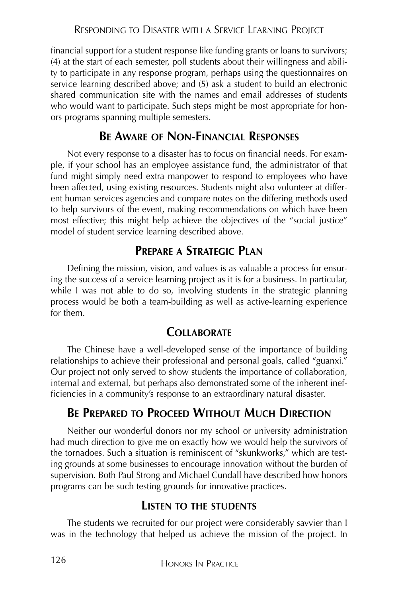financial support for a student response like funding grants or loans to survivors; (4) at the start of each semester, poll students about their willingness and ability to participate in any response program, perhaps using the questionnaires on service learning described above; and (5) ask a student to build an electronic shared communication site with the names and email addresses of students who would want to participate. Such steps might be most appropriate for honors programs spanning multiple semesters.

### **BE AWARE OF NON-FINANCIAL RESPONSES**

Not every response to a disaster has to focus on financial needs. For example, if your school has an employee assistance fund, the administrator of that fund might simply need extra manpower to respond to employees who have been affected, using existing resources. Students might also volunteer at different human services agencies and compare notes on the differing methods used to help survivors of the event, making recommendations on which have been most effective; this might help achieve the objectives of the "social justice" model of student service learning described above.

### **PREPARE A STRATEGIC PLAN**

Defining the mission, vision, and values is as valuable a process for ensuring the success of a service learning project as it is for a business. In particular, while I was not able to do so, involving students in the strategic planning process would be both a team-building as well as active-learning experience for them.

### **COLLABORATE**

The Chinese have a well-developed sense of the importance of building relationships to achieve their professional and personal goals, called "guanxi." Our project not only served to show students the importance of collaboration, internal and external, but perhaps also demonstrated some of the inherent inefficiencies in a community's response to an extraordinary natural disaster.

### **BE PREPARED TO PROCEED WITHOUT MUCH DIRECTION**

Neither our wonderful donors nor my school or university administration had much direction to give me on exactly how we would help the survivors of the tornadoes. Such a situation is reminiscent of "skunkworks," which are testing grounds at some businesses to encourage innovation without the burden of supervision. Both Paul Strong and Michael Cundall have described how honors programs can be such testing grounds for innovative practices.

### **LISTEN TO THE STUDENTS**

The students we recruited for our project were considerably savvier than I was in the technology that helped us achieve the mission of the project. In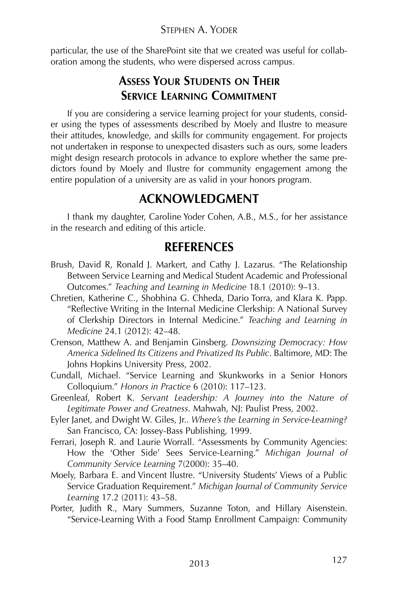particular, the use of the SharePoint site that we created was useful for collaboration among the students, who were dispersed across campus.

### **ASSESS YOUR STUDENTS ON THEIR SERVICE LEARNING COMMITMENT**

If you are considering a service learning project for your students, consider using the types of assessments described by Moely and Ilustre to measure their attitudes, knowledge, and skills for community engagement. For projects not undertaken in response to unexpected disasters such as ours, some leaders might design research protocols in advance to explore whether the same predictors found by Moely and Ilustre for community engagement among the entire population of a university are as valid in your honors program.

# **ACKNOWLEDGMENT**

I thank my daughter, Caroline Yoder Cohen, A.B., M.S., for her assistance in the research and editing of this article.

## **REFERENCES**

- Brush, David R, Ronald J. Markert, and Cathy J. Lazarus. "The Relationship Between Service Learning and Medical Student Academic and Professional Outcomes." *Teaching and Learning in Medicine* 18.1 (2010): 9–13.
- Chretien, Katherine C., Shobhina G. Chheda, Dario Torra, and Klara K. Papp. "Reflective Writing in the Internal Medicine Clerkship: A National Survey of Clerkship Directors in Internal Medicine." *Teaching and Learning in Medicine* 24.1 (2012): 42–48.
- Crenson, Matthew A. and Benjamin Ginsberg. *Downsizing Democracy: How America Sidelined Its Citizens and Privatized Its Public*. Baltimore, MD: The Johns Hopkins University Press, 2002.
- Cundall, Michael. "Service Learning and Skunkworks in a Senior Honors Colloquium." *Honors in Practice* 6 (2010): 117–123.
- Greenleaf, Robert K. *Servant Leadership: A Journey into the Nature of Legitimate Power and Greatness*. Mahwah, NJ: Paulist Press, 2002.
- Eyler Janet, and Dwight W. Giles, Jr.. *Where's the Learning in Service-Learning?* San Francisco, CA: Jossey-Bass Publishing, 1999.
- Ferrari, Joseph R. and Laurie Worrall. "Assessments by Community Agencies: How the 'Other Side' Sees Service-Learning." *Michigan Journal of Community Service Learning* 7(2000): 35–40.
- Moely, Barbara E. and Vincent Ilustre. "University Students' Views of a Public Service Graduation Requirement." *Michigan Journal of Community Service Learning* 17.2 (2011): 43–58.
- Porter, Judith R., Mary Summers, Suzanne Toton, and Hillary Aisenstein. "Service-Learning With a Food Stamp Enrollment Campaign: Community